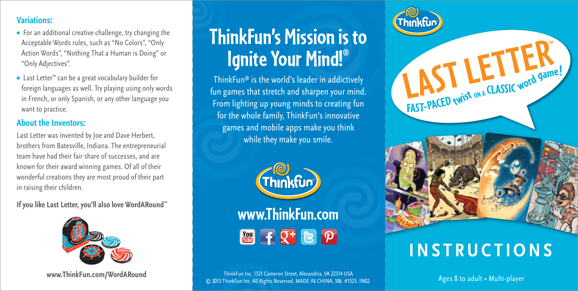## **Variations:**

- **•** For an additional creative challenge, try changing the Acceptable Words rules, such as "No Colors", "Only Action Words", "Nothing That a Human is Doing" or "Only Adjectives".
- **•** Last Letter™ can be a great vocabulary builder for foreign languages as well. Try playing using only words in French, or only Spanish, or any other language you want to practice.

### **About the Inventors:**

Last Letter was invented by Joe and Dave Herbert, brothers from Batesville, Indiana. The entrepreneurial team have had their fair share of successes, and are known for their award winning games. Of all of their wonderful creations they are most proud of their part in raising their children.

**If you like Last Letter, you'll also love WordARound**™



**www.ThinkFun.com/WordARound**

# **ThinkFun's Mission is to Ignite Your Mind!®**

ThinkFun® is the world's leader in addictively fun games that stretch and sharpen your mind. From lighting up young minds to creating fun for the whole family, ThinkFun's innovative games and mobile apps make you think while they make you smile.



**THE FIRE P** 

ThinkFun Inc. 1321 Cameron Street, Alexandria, VA 22314 USA © 2013 ThinkFun Inc. All Rights Reserved. MADE IN CHINA, 106. #1525. IN02. FAST-PACED twist on a CLASSIC word game!

# **INSTRUCTIONS**

Ages 8 to adult • Multi-player